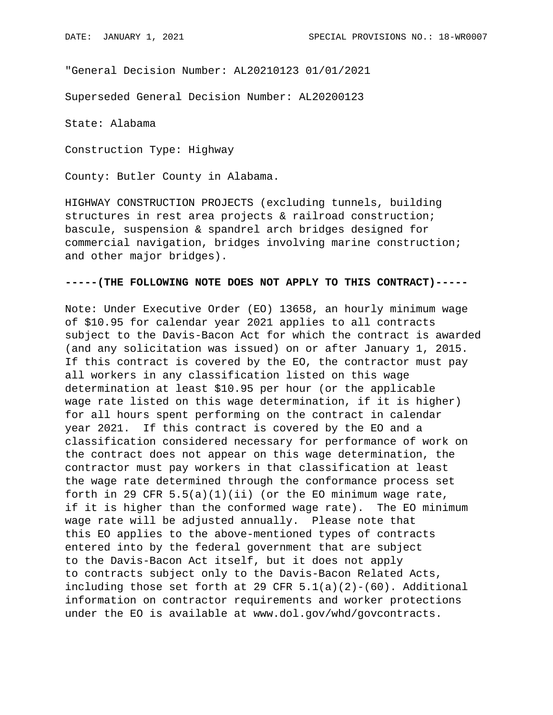"General Decision Number: AL20210123 01/01/2021

Superseded General Decision Number: AL20200123

State: Alabama

Construction Type: Highway

County: Butler County in Alabama.

HIGHWAY CONSTRUCTION PROJECTS (excluding tunnels, building structures in rest area projects & railroad construction; bascule, suspension & spandrel arch bridges designed for commercial navigation, bridges involving marine construction; and other major bridges).

## **-----(THE FOLLOWING NOTE DOES NOT APPLY TO THIS CONTRACT)-----**

Note: Under Executive Order (EO) 13658, an hourly minimum wage of \$10.95 for calendar year 2021 applies to all contracts subject to the Davis-Bacon Act for which the contract is awarded (and any solicitation was issued) on or after January 1, 2015. If this contract is covered by the EO, the contractor must pay all workers in any classification listed on this wage determination at least \$10.95 per hour (or the applicable wage rate listed on this wage determination, if it is higher) for all hours spent performing on the contract in calendar year 2021. If this contract is covered by the EO and a classification considered necessary for performance of work on the contract does not appear on this wage determination, the contractor must pay workers in that classification at least the wage rate determined through the conformance process set forth in 29 CFR  $5.5(a)(1)(ii)$  (or the EO minimum wage rate, if it is higher than the conformed wage rate). The EO minimum wage rate will be adjusted annually. Please note that this EO applies to the above-mentioned types of contracts entered into by the federal government that are subject to the Davis-Bacon Act itself, but it does not apply to contracts subject only to the Davis-Bacon Related Acts, including those set forth at 29 CFR  $5.1(a)(2)-(60)$ . Additional information on contractor requirements and worker protections under the EO is available at www.dol.gov/whd/govcontracts.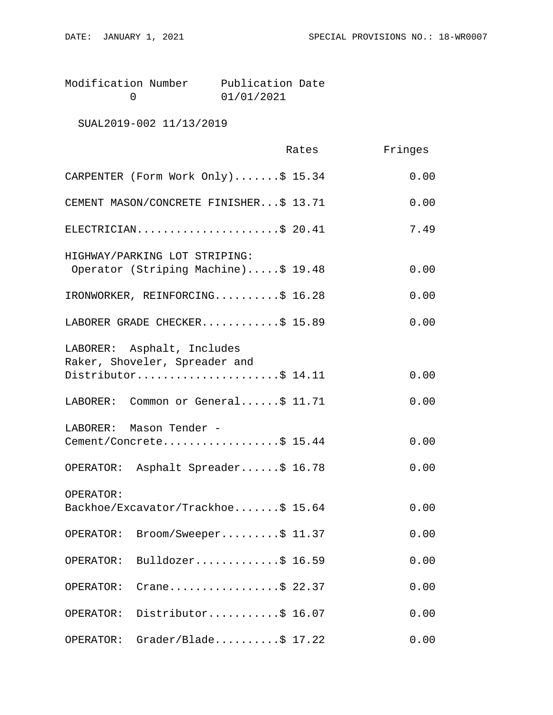| Modification Number | Publication Date |  |
|---------------------|------------------|--|
|                     | 01/01/2021       |  |

SUAL2019-002 11/13/2019

|                                                                                    | Rates | Fringes |
|------------------------------------------------------------------------------------|-------|---------|
| CARPENTER (Form Work Only)\$ 15.34                                                 |       | 0.00    |
| CEMENT MASON/CONCRETE FINISHER\$ 13.71                                             |       | 0.00    |
| ELECTRICIAN\$ 20.41                                                                |       | 7.49    |
| HIGHWAY/PARKING LOT STRIPING:<br>Operator (Striping Machine)\$ 19.48               |       | 0.00    |
| IRONWORKER, REINFORCING\$ 16.28                                                    |       | 0.00    |
| LABORER GRADE CHECKER\$ 15.89                                                      |       | 0.00    |
| LABORER: Asphalt, Includes<br>Raker, Shoveler, Spreader and<br>Distributor\$ 14.11 |       | 0.00    |
| LABORER: Common or General\$ 11.71                                                 |       | 0.00    |
| LABORER: Mason Tender -<br>Cement/Concrete\$ 15.44                                 |       | 0.00    |
| OPERATOR: Asphalt Spreader\$ 16.78                                                 |       | 0.00    |
| OPERATOR:<br>Backhoe/Excavator/Trackhoe\$ 15.64                                    |       | 0.00    |
| OPERATOR: Broom/Sweeper\$ 11.37                                                    |       | 0.00    |
| Bulldozer\$ 16.59<br>OPERATOR:                                                     |       | 0.00    |
| Crane\$ 22.37<br>OPERATOR:                                                         |       | 0.00    |
| Distributor\$ 16.07<br>OPERATOR:                                                   |       | 0.00    |
| $Grade$ r/Blade\$ 17.22<br>OPERATOR:                                               |       | 0.00    |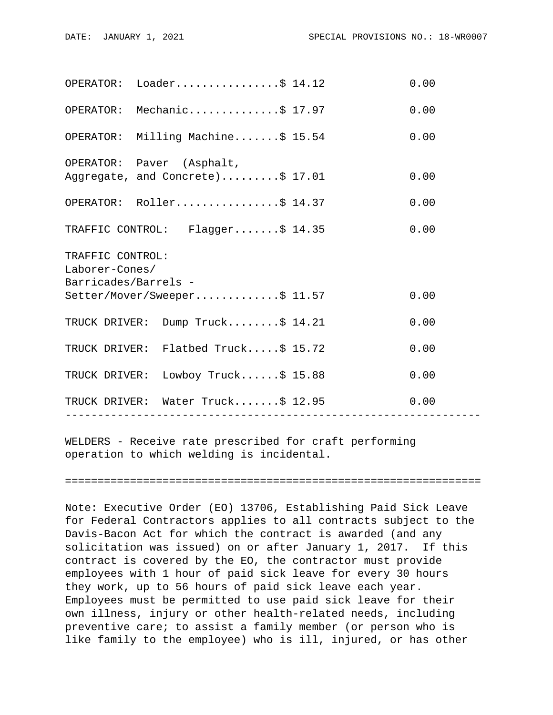|                                                                                                    | OPERATOR: Loader\$ 14.12                                      |  | 0.00 |  |
|----------------------------------------------------------------------------------------------------|---------------------------------------------------------------|--|------|--|
|                                                                                                    | OPERATOR: Mechanic\$ 17.97                                    |  | 0.00 |  |
|                                                                                                    | OPERATOR: Milling Machine\$ 15.54                             |  | 0.00 |  |
|                                                                                                    | OPERATOR: Paver (Asphalt,<br>Aggregate, and Concrete)\$ 17.01 |  | 0.00 |  |
|                                                                                                    | OPERATOR: Roller\$ 14.37                                      |  | 0.00 |  |
|                                                                                                    | TRAFFIC CONTROL: Flagger\$ 14.35                              |  | 0.00 |  |
| TRAFFIC CONTROL:<br>Laborer-Cones/<br>Barricades/Barrels -<br>Setter/Mover/Sweeper\$ 11.57<br>0.00 |                                                               |  |      |  |
|                                                                                                    | TRUCK DRIVER: Dump Truck\$ 14.21                              |  | 0.00 |  |
|                                                                                                    | TRUCK DRIVER: Flatbed Truck\$ 15.72                           |  | 0.00 |  |
|                                                                                                    | TRUCK DRIVER: Lowboy Truck\$ 15.88                            |  | 0.00 |  |
|                                                                                                    | TRUCK DRIVER: Water Truck\$ 12.95                             |  | 0.00 |  |
|                                                                                                    |                                                               |  |      |  |

WELDERS - Receive rate prescribed for craft performing operation to which welding is incidental.

================================================================

Note: Executive Order (EO) 13706, Establishing Paid Sick Leave for Federal Contractors applies to all contracts subject to the Davis-Bacon Act for which the contract is awarded (and any solicitation was issued) on or after January 1, 2017. If this contract is covered by the EO, the contractor must provide employees with 1 hour of paid sick leave for every 30 hours they work, up to 56 hours of paid sick leave each year. Employees must be permitted to use paid sick leave for their own illness, injury or other health-related needs, including preventive care; to assist a family member (or person who is like family to the employee) who is ill, injured, or has other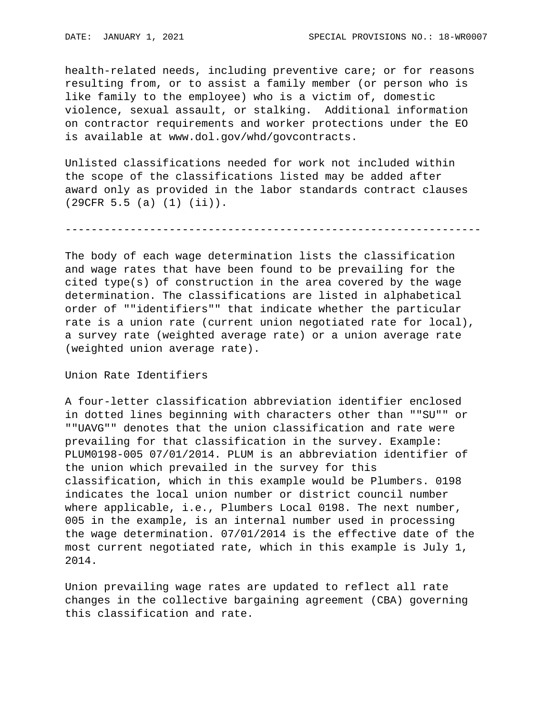health-related needs, including preventive care; or for reasons resulting from, or to assist a family member (or person who is like family to the employee) who is a victim of, domestic violence, sexual assault, or stalking. Additional information on contractor requirements and worker protections under the EO is available at www.dol.gov/whd/govcontracts.

Unlisted classifications needed for work not included within the scope of the classifications listed may be added after award only as provided in the labor standards contract clauses (29CFR 5.5 (a) (1) (ii)).

----------------------------------------------------------------

The body of each wage determination lists the classification and wage rates that have been found to be prevailing for the cited type(s) of construction in the area covered by the wage determination. The classifications are listed in alphabetical order of ""identifiers"" that indicate whether the particular rate is a union rate (current union negotiated rate for local), a survey rate (weighted average rate) or a union average rate (weighted union average rate).

Union Rate Identifiers

A four-letter classification abbreviation identifier enclosed in dotted lines beginning with characters other than ""SU"" or ""UAVG"" denotes that the union classification and rate were prevailing for that classification in the survey. Example: PLUM0198-005 07/01/2014. PLUM is an abbreviation identifier of the union which prevailed in the survey for this classification, which in this example would be Plumbers. 0198 indicates the local union number or district council number where applicable, i.e., Plumbers Local 0198. The next number, 005 in the example, is an internal number used in processing the wage determination. 07/01/2014 is the effective date of the most current negotiated rate, which in this example is July 1, 2014.

Union prevailing wage rates are updated to reflect all rate changes in the collective bargaining agreement (CBA) governing this classification and rate.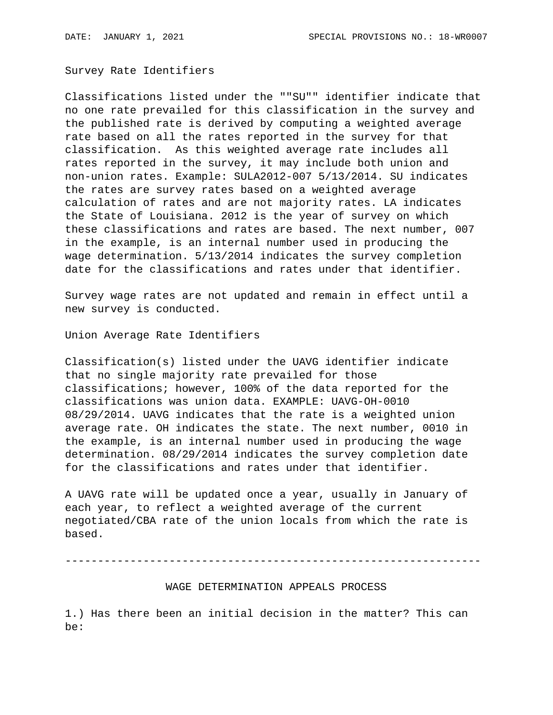Survey Rate Identifiers

Classifications listed under the ""SU"" identifier indicate that no one rate prevailed for this classification in the survey and the published rate is derived by computing a weighted average rate based on all the rates reported in the survey for that classification. As this weighted average rate includes all rates reported in the survey, it may include both union and non-union rates. Example: SULA2012-007 5/13/2014. SU indicates the rates are survey rates based on a weighted average calculation of rates and are not majority rates. LA indicates the State of Louisiana. 2012 is the year of survey on which these classifications and rates are based. The next number, 007 in the example, is an internal number used in producing the wage determination. 5/13/2014 indicates the survey completion date for the classifications and rates under that identifier.

Survey wage rates are not updated and remain in effect until a new survey is conducted.

Union Average Rate Identifiers

Classification(s) listed under the UAVG identifier indicate that no single majority rate prevailed for those classifications; however, 100% of the data reported for the classifications was union data. EXAMPLE: UAVG-OH-0010 08/29/2014. UAVG indicates that the rate is a weighted union average rate. OH indicates the state. The next number, 0010 in the example, is an internal number used in producing the wage determination. 08/29/2014 indicates the survey completion date for the classifications and rates under that identifier.

A UAVG rate will be updated once a year, usually in January of each year, to reflect a weighted average of the current negotiated/CBA rate of the union locals from which the rate is based.

----------------------------------------------------------------

## WAGE DETERMINATION APPEALS PROCESS

1.) Has there been an initial decision in the matter? This can be: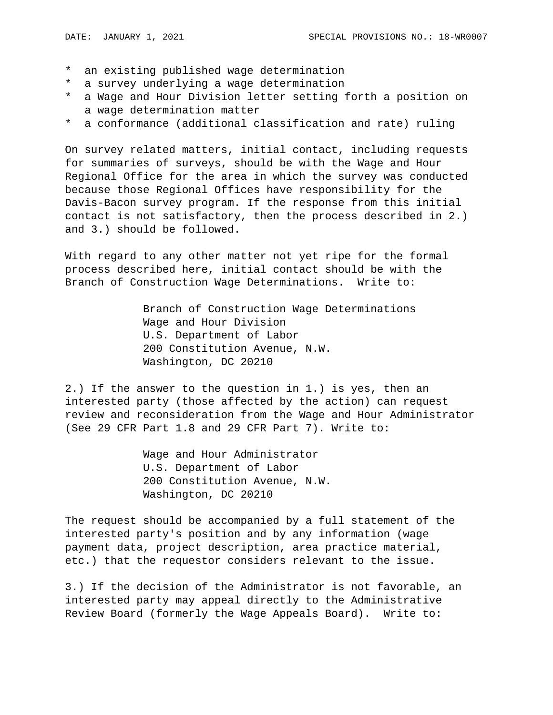- \* an existing published wage determination
- \* a survey underlying a wage determination
- \* a Wage and Hour Division letter setting forth a position on a wage determination matter
- \* a conformance (additional classification and rate) ruling

On survey related matters, initial contact, including requests for summaries of surveys, should be with the Wage and Hour Regional Office for the area in which the survey was conducted because those Regional Offices have responsibility for the Davis-Bacon survey program. If the response from this initial contact is not satisfactory, then the process described in 2.) and 3.) should be followed.

With regard to any other matter not yet ripe for the formal process described here, initial contact should be with the Branch of Construction Wage Determinations. Write to:

> Branch of Construction Wage Determinations Wage and Hour Division U.S. Department of Labor 200 Constitution Avenue, N.W. Washington, DC 20210

2.) If the answer to the question in 1.) is yes, then an interested party (those affected by the action) can request review and reconsideration from the Wage and Hour Administrator (See 29 CFR Part 1.8 and 29 CFR Part 7). Write to:

> Wage and Hour Administrator U.S. Department of Labor 200 Constitution Avenue, N.W. Washington, DC 20210

The request should be accompanied by a full statement of the interested party's position and by any information (wage payment data, project description, area practice material, etc.) that the requestor considers relevant to the issue.

3.) If the decision of the Administrator is not favorable, an interested party may appeal directly to the Administrative Review Board (formerly the Wage Appeals Board). Write to: